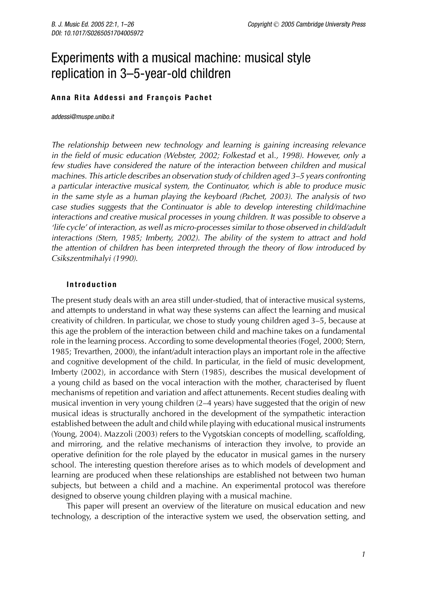# Experiments with a musical machine: musical style replication in 3–5-year-old children

# **Anna Rita Addessi and Franc¸ ois Pachet**

addessi@muspe.unibo.it

The relationship between new technology and learning is gaining increasing relevance in the field of music education (Webster, 2002; Folkestad et al., 1998). However, only <sup>a</sup> few studies have considered the nature of the interaction between children and musical machines. This article describes an observation study of children aged 3–5 years confronting <sup>a</sup> particular interactive musical system, the Continuator, which is able to produce music in the same style as <sup>a</sup> human playing the keyboard (Pachet, 2003). The analysis of two case studies suggests that the Continuator is able to develop interesting child/machine interactions and creative musical processes in young children. It was possible to observe <sup>a</sup> 'life cycle' of interaction, as well as micro-processes similar to those observed in child/adult interactions (Stern, 1985; Imberty, 2002). The ability of the system to attract and hold the attention of children has been interpreted through the theory of flow introduced by Csikszentmihalyi (1990).

### **Introduction**

The present study deals with an area still under-studied, that of interactive musical systems, and attempts to understand in what way these systems can affect the learning and musical creativity of children. In particular, we chose to study young children aged 3–5, because at this age the problem of the interaction between child and machine takes on a fundamental role in the learning process. According to some developmental theories (Fogel, 2000; Stern, 1985; Trevarthen, 2000), the infant/adult interaction plays an important role in the affective and cognitive development of the child. In particular, in the field of music development, Imberty (2002), in accordance with Stern (1985), describes the musical development of a young child as based on the vocal interaction with the mother, characterised by fluent mechanisms of repetition and variation and affect attunements. Recent studies dealing with musical invention in very young children (2–4 years) have suggested that the origin of new musical ideas is structurally anchored in the development of the sympathetic interaction established between the adult and child while playing with educational musical instruments (Young, 2004). Mazzoli (2003) refers to the Vygotskian concepts of modelling, scaffolding, and mirroring, and the relative mechanisms of interaction they involve, to provide an operative definition for the role played by the educator in musical games in the nursery school. The interesting question therefore arises as to which models of development and learning are produced when these relationships are established not between two human subjects, but between a child and a machine. An experimental protocol was therefore designed to observe young children playing with a musical machine.

This paper will present an overview of the literature on musical education and new technology, a description of the interactive system we used, the observation setting, and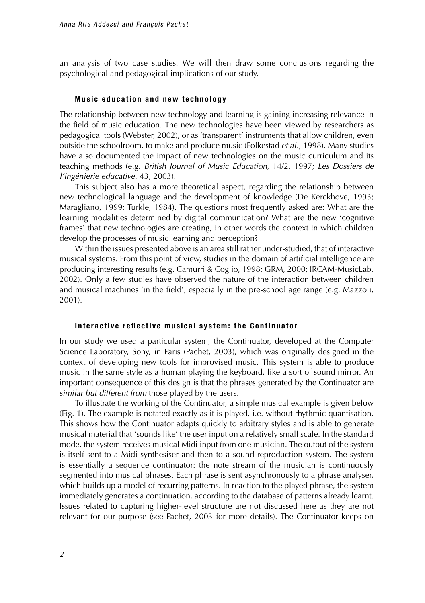an analysis of two case studies. We will then draw some conclusions regarding the psychological and pedagogical implications of our study.

# **Music education and new technology**

The relationship between new technology and learning is gaining increasing relevance in the field of music education. The new technologies have been viewed by researchers as pedagogical tools (Webster, 2002), or as 'transparent' instruments that allow children, even outside the schoolroom, to make and produce music (Folkestad *et al.*, 1998). Many studies have also documented the impact of new technologies on the music curriculum and its teaching methods (e.g. British Journal of Music Education, 14/2, 1997; Les Dossiers de l'ingénierie educative, 43, 2003).

This subject also has a more theoretical aspect, regarding the relationship between new technological language and the development of knowledge (De Kerckhove, 1993; Maragliano, 1999; Turkle, 1984). The questions most frequently asked are: What are the learning modalities determined by digital communication? What are the new 'cognitive frames' that new technologies are creating, in other words the context in which children develop the processes of music learning and perception?

Within the issues presented above is an area still rather under-studied, that of interactive musical systems. From this point of view, studies in the domain of artificial intelligence are producing interesting results (e.g. Camurri & Coglio, 1998; GRM, 2000; IRCAM-MusicLab, 2002). Only a few studies have observed the nature of the interaction between children and musical machines 'in the field', especially in the pre-school age range (e.g. Mazzoli, 2001).

# **Interactive reflective musical system: the Continuator**

In our study we used a particular system, the Continuator, developed at the Computer Science Laboratory, Sony, in Paris (Pachet, 2003), which was originally designed in the context of developing new tools for improvised music. This system is able to produce music in the same style as a human playing the keyboard, like a sort of sound mirror. An important consequence of this design is that the phrases generated by the Continuator are similar but different from those played by the users.

To illustrate the working of the Continuator, a simple musical example is given below (Fig. 1). The example is notated exactly as it is played, i.e. without rhythmic quantisation. This shows how the Continuator adapts quickly to arbitrary styles and is able to generate musical material that 'sounds like' the user input on a relatively small scale. In the standard mode, the system receives musical Midi input from one musician. The output of the system is itself sent to a Midi synthesiser and then to a sound reproduction system. The system is essentially a sequence continuator: the note stream of the musician is continuously segmented into musical phrases. Each phrase is sent asynchronously to a phrase analyser, which builds up a model of recurring patterns. In reaction to the played phrase, the system immediately generates a continuation, according to the database of patterns already learnt. Issues related to capturing higher-level structure are not discussed here as they are not relevant for our purpose (see Pachet, 2003 for more details). The Continuator keeps on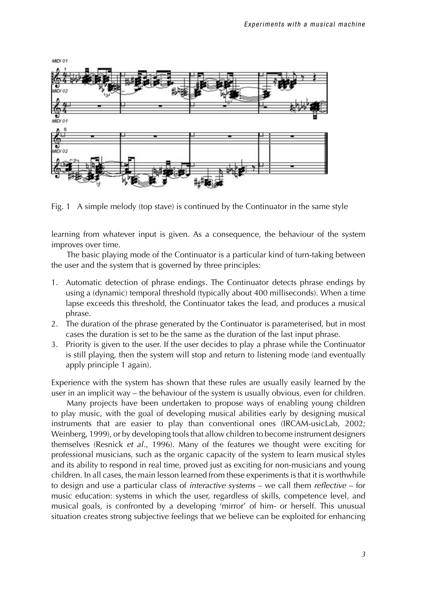

Fig. 1 A simple melody (top stave) is continued by the Continuator in the same style

learning from whatever input is given. As a consequence, the behaviour of the system improves over time.

The basic playing mode of the Continuator is a particular kind of turn-taking between the user and the system that is governed by three principles:

- 1. Automatic detection of phrase endings. The Continuator detects phrase endings by using a (dynamic) temporal threshold (typically about 400 milliseconds). When a time lapse exceeds this threshold, the Continuator takes the lead, and produces a musical phrase.
- 2. The duration of the phrase generated by the Continuator is parameterised, but in most cases the duration is set to be the same as the duration of the last input phrase.
- 3. Priority is given to the user. If the user decides to play a phrase while the Continuator is still playing, then the system will stop and return to listening mode (and eventually apply principle 1 again).

Experience with the system has shown that these rules are usually easily learned by the user in an implicit way – the behaviour of the system is usually obvious, even for children.

Many projects have been undertaken to propose ways of enabling young children to play music, with the goal of developing musical abilities early by designing musical instruments that are easier to play than conventional ones (IRCAM-usicLab, 2002; Weinberg, 1999), or by developing tools that allow children to become instrument designers themselves (Resnick et al., 1996). Many of the features we thought were exciting for professional musicians, such as the organic capacity of the system to learn musical styles and its ability to respond in real time, proved just as exciting for non-musicians and young children. In all cases, the main lesson learned from these experiments is that it is worthwhile to design and use a particular class of interactive systems – we call them *reflective* – for music education: systems in which the user, regardless of skills, competence level, and musical goals, is confronted by a developing 'mirror' of him- or herself. This unusual situation creates strong subjective feelings that we believe can be exploited for enhancing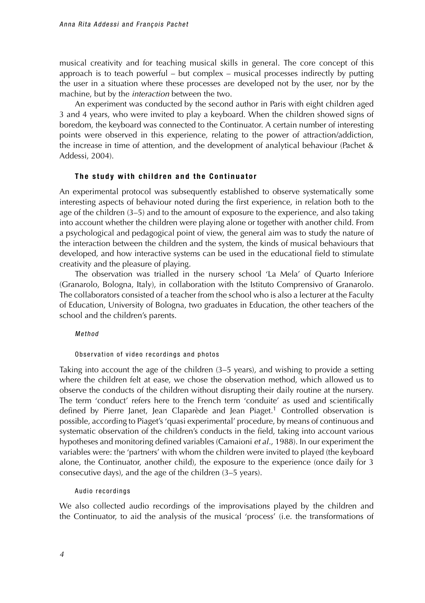musical creativity and for teaching musical skills in general. The core concept of this approach is to teach powerful – but complex – musical processes indirectly by putting the user in a situation where these processes are developed not by the user, nor by the machine, but by the interaction between the two.

An experiment was conducted by the second author in Paris with eight children aged 3 and 4 years, who were invited to play a keyboard. When the children showed signs of boredom, the keyboard was connected to the Continuator. A certain number of interesting points were observed in this experience, relating to the power of attraction/addiction, the increase in time of attention, and the development of analytical behaviour (Pachet & Addessi, 2004).

# **The study with children and the Continuator**

An experimental protocol was subsequently established to observe systematically some interesting aspects of behaviour noted during the first experience, in relation both to the age of the children (3–5) and to the amount of exposure to the experience, and also taking into account whether the children were playing alone or together with another child. From a psychological and pedagogical point of view, the general aim was to study the nature of the interaction between the children and the system, the kinds of musical behaviours that developed, and how interactive systems can be used in the educational field to stimulate creativity and the pleasure of playing.

The observation was trialled in the nursery school 'La Mela' of Quarto Inferiore (Granarolo, Bologna, Italy), in collaboration with the Istituto Comprensivo of Granarolo. The collaborators consisted of a teacher from the school who is also a lecturer at the Faculty of Education, University of Bologna, two graduates in Education, the other teachers of the school and the children's parents.

Method

Observation of video recordings and photos

Taking into account the age of the children (3–5 years), and wishing to provide a setting where the children felt at ease, we chose the observation method, which allowed us to observe the conducts of the children without disrupting their daily routine at the nursery. The term 'conduct' refers here to the French term 'conduite' as used and scientifically defined by Pierre Janet, Jean Claparède and Jean Piaget.<sup>1</sup> Controlled observation is possible, according to Piaget's 'quasi experimental' procedure, by means of continuous and systematic observation of the children's conducts in the field, taking into account various hypotheses and monitoring defined variables (Camaioni et al., 1988). In our experiment the variables were: the 'partners' with whom the children were invited to played (the keyboard alone, the Continuator, another child), the exposure to the experience (once daily for 3 consecutive days), and the age of the children (3–5 years).

# Audio recordings

We also collected audio recordings of the improvisations played by the children and the Continuator, to aid the analysis of the musical 'process' (i.e. the transformations of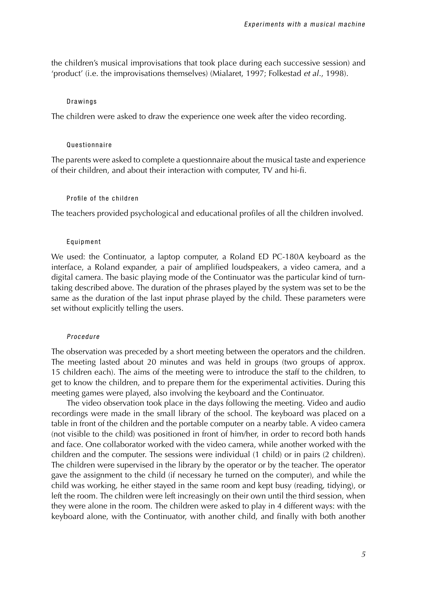the children's musical improvisations that took place during each successive session) and 'product' (i.e. the improvisations themselves) (Mialaret, 1997; Folkestad et al., 1998).

### Drawings

The children were asked to draw the experience one week after the video recording.

### Questionnaire

The parents were asked to complete a questionnaire about the musical taste and experience of their children, and about their interaction with computer, TV and hi-fi.

### Profile of the children

The teachers provided psychological and educational profiles of all the children involved.

# Equipment

We used: the Continuator, a laptop computer, a Roland ED PC-180A keyboard as the interface, a Roland expander, a pair of amplified loudspeakers, a video camera, and a digital camera. The basic playing mode of the Continuator was the particular kind of turntaking described above. The duration of the phrases played by the system was set to be the same as the duration of the last input phrase played by the child. These parameters were set without explicitly telling the users.

### Procedure

The observation was preceded by a short meeting between the operators and the children. The meeting lasted about 20 minutes and was held in groups (two groups of approx. 15 children each). The aims of the meeting were to introduce the staff to the children, to get to know the children, and to prepare them for the experimental activities. During this meeting games were played, also involving the keyboard and the Continuator.

The video observation took place in the days following the meeting. Video and audio recordings were made in the small library of the school. The keyboard was placed on a table in front of the children and the portable computer on a nearby table. A video camera (not visible to the child) was positioned in front of him/her, in order to record both hands and face. One collaborator worked with the video camera, while another worked with the children and the computer. The sessions were individual (1 child) or in pairs (2 children). The children were supervised in the library by the operator or by the teacher. The operator gave the assignment to the child (if necessary he turned on the computer), and while the child was working, he either stayed in the same room and kept busy (reading, tidying), or left the room. The children were left increasingly on their own until the third session, when they were alone in the room. The children were asked to play in 4 different ways: with the keyboard alone, with the Continuator, with another child, and finally with both another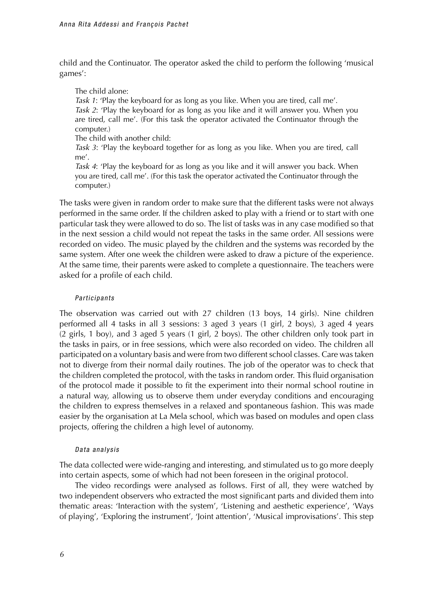child and the Continuator. The operator asked the child to perform the following 'musical games':

The child alone:

Task <sup>1</sup>: 'Play the keyboard for as long as you like. When you are tired, call me'. Task <sup>2</sup>: 'Play the keyboard for as long as you like and it will answer you. When you are tired, call me'. (For this task the operator activated the Continuator through the computer.)

The child with another child:

Task <sup>3</sup>: 'Play the keyboard together for as long as you like. When you are tired, call me'.

Task <sup>4</sup>: 'Play the keyboard for as long as you like and it will answer you back. When you are tired, call me'. (For this task the operator activated the Continuator through the computer.)

The tasks were given in random order to make sure that the different tasks were not always performed in the same order. If the children asked to play with a friend or to start with one particular task they were allowed to do so. The list of tasks was in any case modified so that in the next session a child would not repeat the tasks in the same order. All sessions were recorded on video. The music played by the children and the systems was recorded by the same system. After one week the children were asked to draw a picture of the experience. At the same time, their parents were asked to complete a questionnaire. The teachers were asked for a profile of each child.

### **Participants**

The observation was carried out with 27 children (13 boys, 14 girls). Nine children performed all 4 tasks in all 3 sessions: 3 aged 3 years (1 girl, 2 boys), 3 aged 4 years (2 girls, 1 boy), and 3 aged 5 years (1 girl, 2 boys). The other children only took part in the tasks in pairs, or in free sessions, which were also recorded on video. The children all participated on a voluntary basis and were from two different school classes. Care was taken not to diverge from their normal daily routines. The job of the operator was to check that the children completed the protocol, with the tasks in random order. This fluid organisation of the protocol made it possible to fit the experiment into their normal school routine in a natural way, allowing us to observe them under everyday conditions and encouraging the children to express themselves in a relaxed and spontaneous fashion. This was made easier by the organisation at La Mela school, which was based on modules and open class projects, offering the children a high level of autonomy.

### Data analysis

The data collected were wide-ranging and interesting, and stimulated us to go more deeply into certain aspects, some of which had not been foreseen in the original protocol.

The video recordings were analysed as follows. First of all, they were watched by two independent observers who extracted the most significant parts and divided them into thematic areas: 'Interaction with the system', 'Listening and aesthetic experience', 'Ways of playing', 'Exploring the instrument', 'Joint attention', 'Musical improvisations'. This step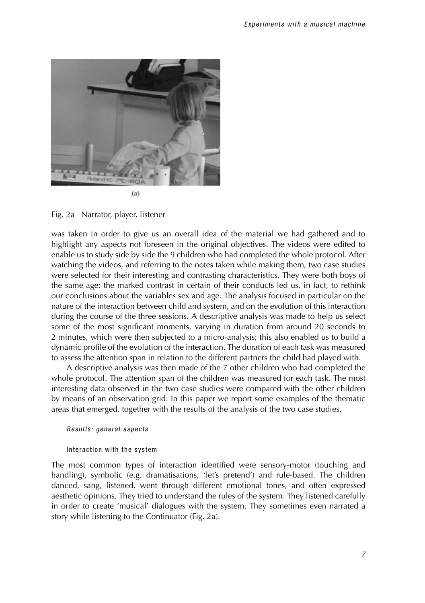



was taken in order to give us an overall idea of the material we had gathered and to highlight any aspects not foreseen in the original objectives. The videos were edited to enable us to study side by side the 9 children who had completed the whole protocol. After watching the videos, and referring to the notes taken while making them, two case studies were selected for their interesting and contrasting characteristics. They were both boys of the same age: the marked contrast in certain of their conducts led us, in fact, to rethink our conclusions about the variables sex and age. The analysis focused in particular on the nature of the interaction between child and system, and on the evolution of this interaction during the course of the three sessions. A descriptive analysis was made to help us select some of the most significant moments, varying in duration from around 20 seconds to 2 minutes, which were then subjected to a micro-analysis; this also enabled us to build a dynamic profile of the evolution of the interaction. The duration of each task was measured to assess the attention span in relation to the different partners the child had played with.

A descriptive analysis was then made of the 7 other children who had completed the whole protocol. The attention span of the children was measured for each task. The most interesting data observed in the two case studies were compared with the other children by means of an observation grid. In this paper we report some examples of the thematic areas that emerged, together with the results of the analysis of the two case studies.

# Results: general aspects

### Interaction with the system

The most common types of interaction identified were sensory-motor (touching and handling), symbolic (e.g. dramatisations, 'let's pretend') and rule-based. The children danced, sang, listened, went through different emotional tones, and often expressed aesthetic opinions. They tried to understand the rules of the system. They listened carefully in order to create 'musical' dialogues with the system. They sometimes even narrated a story while listening to the Continuator (Fig. 2a).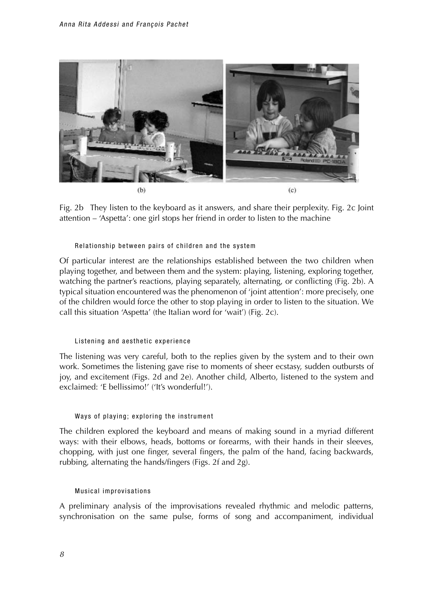

Fig. 2b They listen to the keyboard as it answers, and share their perplexity. Fig. 2c Joint attention – 'Aspetta': one girl stops her friend in order to listen to the machine

# Relationship between pairs of children and the system

Of particular interest are the relationships established between the two children when playing together, and between them and the system: playing, listening, exploring together, watching the partner's reactions, playing separately, alternating, or conflicting (Fig. 2b). A typical situation encountered was the phenomenon of 'joint attention': more precisely, one of the children would force the other to stop playing in order to listen to the situation. We call this situation 'Aspetta' (the Italian word for 'wait') (Fig. 2c).

# Listening and aesthetic experience

The listening was very careful, both to the replies given by the system and to their own work. Sometimes the listening gave rise to moments of sheer ecstasy, sudden outbursts of joy, and excitement (Figs. 2d and 2e). Another child, Alberto, listened to the system and exclaimed: 'E bellissimo!' ('It's wonderful!').

### Ways of playing; exploring the instrument

The children explored the keyboard and means of making sound in a myriad different ways: with their elbows, heads, bottoms or forearms, with their hands in their sleeves, chopping, with just one finger, several fingers, the palm of the hand, facing backwards, rubbing, alternating the hands/fingers (Figs. 2f and 2g).

# Musical improvisations

A preliminary analysis of the improvisations revealed rhythmic and melodic patterns, synchronisation on the same pulse, forms of song and accompaniment, individual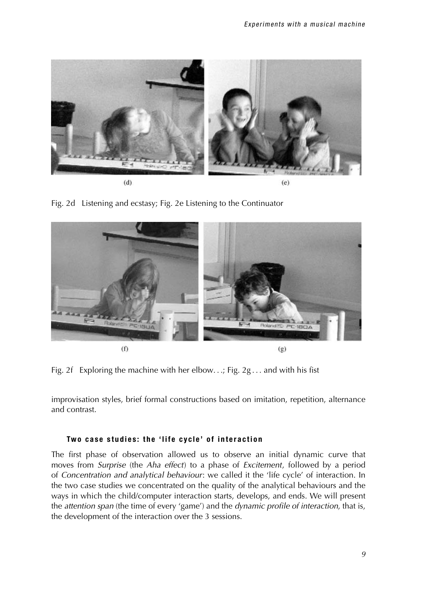

Fig. 2d Listening and ecstasy; Fig. 2e Listening to the Continuator



Fig. 2f Exploring the machine with her elbow...; Fig. 2g ... and with his fist

improvisation styles, brief formal constructions based on imitation, repetition, alternance and contrast.

# **Two case studies: the 'life cycle' of interaction**

The first phase of observation allowed us to observe an initial dynamic curve that moves from *Surprise* (the *Aha effect*) to a phase of *Excitement*, followed by a period of Concentration and analytical behaviour: we called it the 'life cycle' of interaction. In the two case studies we concentrated on the quality of the analytical behaviours and the ways in which the child/computer interaction starts, develops, and ends. We will present the attention span (the time of every 'game') and the dynamic profile of interaction, that is, the development of the interaction over the 3 sessions.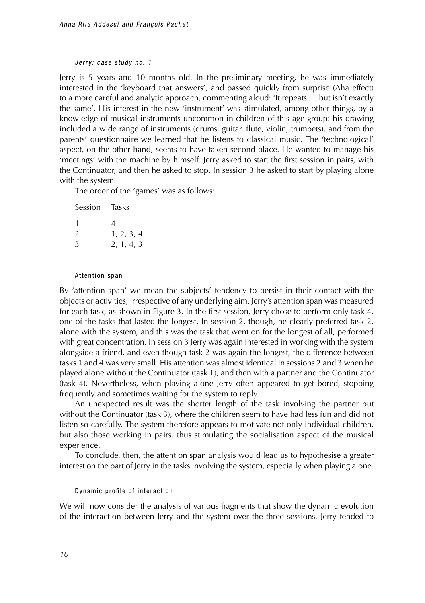### Jerry: case study no. 1

Jerry is 5 years and 10 months old. In the preliminary meeting, he was immediately interested in the 'keyboard that answers', and passed quickly from surprise (Aha effect) to a more careful and analytic approach, commenting aloud: 'It repeats... but isn't exactly the same'. His interest in the new 'instrument' was stimulated, among other things, by a knowledge of musical instruments uncommon in children of this age group: his drawing included a wide range of instruments (drums, guitar, flute, violin, trumpets), and from the parents' questionnaire we learned that he listens to classical music. The 'technological' aspect, on the other hand, seems to have taken second place. He wanted to manage his 'meetings' with the machine by himself. Jerry asked to start the first session in pairs, with the Continuator, and then he asked to stop. In session 3 he asked to start by playing alone with the system.

The order of the 'games' was as follows:

| Session       | Tasks      |  |
|---------------|------------|--|
|               | 4          |  |
| $\mathcal{L}$ | 1, 2, 3, 4 |  |
| 3             | 2, 1, 4, 3 |  |

#### Attention span

By 'attention span' we mean the subjects' tendency to persist in their contact with the objects or activities, irrespective of any underlying aim. Jerry's attention span was measured for each task, as shown in Figure 3. In the first session, Jerry chose to perform only task 4, one of the tasks that lasted the longest. In session 2, though, he clearly preferred task 2, alone with the system, and this was the task that went on for the longest of all, performed with great concentration. In session 3 Jerry was again interested in working with the system alongside a friend, and even though task 2 was again the longest, the difference between tasks 1 and 4 was very small. His attention was almost identical in sessions 2 and 3 when he played alone without the Continuator (task 1), and then with a partner and the Continuator (task 4). Nevertheless, when playing alone Jerry often appeared to get bored, stopping frequently and sometimes waiting for the system to reply.

An unexpected result was the shorter length of the task involving the partner but without the Continuator (task 3), where the children seem to have had less fun and did not listen so carefully. The system therefore appears to motivate not only individual children, but also those working in pairs, thus stimulating the socialisation aspect of the musical experience.

To conclude, then, the attention span analysis would lead us to hypothesise a greater interest on the part of Jerry in the tasks involving the system, especially when playing alone.

# Dynamic profile of interaction

We will now consider the analysis of various fragments that show the dynamic evolution of the interaction between Jerry and the system over the three sessions. Jerry tended to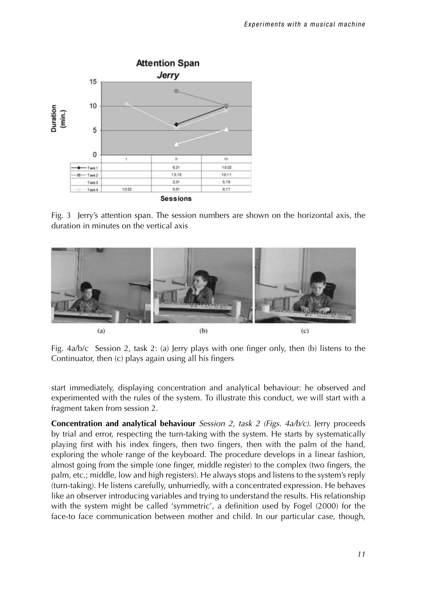

Fig. 3 Jerry's attention span. The session numbers are shown on the horizontal axis, the duration in minutes on the vertical axis



Fig. 4a/b/c Session 2, task 2: (a) Jerry plays with one finger only, then (b) listens to the Continuator, then (c) plays again using all his fingers

start immediately, displaying concentration and analytical behaviour: he observed and experimented with the rules of the system. To illustrate this conduct, we will start with a fragment taken from session 2.

**Concentration and analytical behaviour** Session 2, task 2 (Figs. 4a/b/c). Jerry proceeds by trial and error, respecting the turn-taking with the system. He starts by systematically playing first with his index fingers, then two fingers, then with the palm of the hand, exploring the whole range of the keyboard. The procedure develops in a linear fashion, almost going from the simple (one finger, middle register) to the complex (two fingers, the palm, etc.; middle, low and high registers). He always stops and listens to the system's reply (turn-taking). He listens carefully, unhurriedly, with a concentrated expression. He behaves like an observer introducing variables and trying to understand the results. His relationship with the system might be called 'symmetric', a definition used by Fogel (2000) for the face-to face communication between mother and child. In our particular case, though,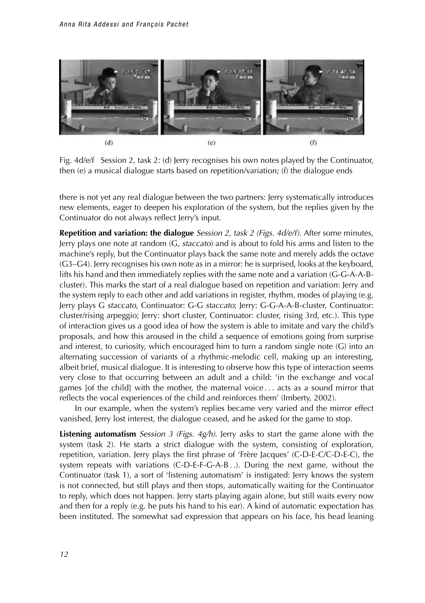

Fig. 4d/e/f Session 2, task 2: (d) Jerry recognises his own notes played by the Continuator, then (e) a musical dialogue starts based on repetition/variation; (f) the dialogue ends

there is not yet any real dialogue between the two partners: Jerry systematically introduces new elements, eager to deepen his exploration of the system, but the replies given by the Continuator do not always reflect Jerry's input.

**Repetition and variation: the dialogue** Session 2, task 2 (Figs. 4d/e/f). After some minutes, Jerry plays one note at random (G, staccato) and is about to fold his arms and listen to the machine's reply, but the Continuator plays back the same note and merely adds the octave (G3–G4). Jerry recognises his own note as in a mirror: he is surprised, looks at the keyboard, lifts his hand and then immediately replies with the same note and a variation (G-G-A-A-Bcluster). This marks the start of a real dialogue based on repetition and variation: Jerry and the system reply to each other and add variations in register, rhythm, modes of playing (e.g. Jerry plays G staccato, Continuator: G-G staccato; Jerry: G-G-A-A-B-cluster, Continuator: cluster/rising arpeggio; Jerry: short cluster, Continuator: cluster, rising 3rd, etc.). This type of interaction gives us a good idea of how the system is able to imitate and vary the child's proposals, and how this aroused in the child a sequence of emotions going from surprise and interest, to curiosity, which encouraged him to turn a random single note (G) into an alternating succession of variants of a rhythmic-melodic cell, making up an interesting, albeit brief, musical dialogue. It is interesting to observe how this type of interaction seems very close to that occurring between an adult and a child: 'in the exchange and vocal games [of the child] with the mother, the maternal voice ... acts as a sound mirror that reflects the vocal experiences of the child and reinforces them' (Imberty, 2002).

In our example, when the system's replies became very varied and the mirror effect vanished, Jerry lost interest, the dialogue ceased, and he asked for the game to stop.

**Listening automatism** Session 3 (Figs. 4g/h). Jerry asks to start the game alone with the system (task 2). He starts a strict dialogue with the system, consisting of exploration, repetition, variation. Jerry plays the first phrase of 'Frère Jacques' (C-D-E-C/C-D-E-C), the system repeats with variations (C-D-E-F-G-A-B . .). During the next game, without the Continuator (task 1), a sort of 'listening automatism' is instigated: Jerry knows the system is not connected, but still plays and then stops, automatically waiting for the Continuator to reply, which does not happen. Jerry starts playing again alone, but still waits every now and then for a reply (e.g. he puts his hand to his ear). A kind of automatic expectation has been instituted. The somewhat sad expression that appears on his face, his head leaning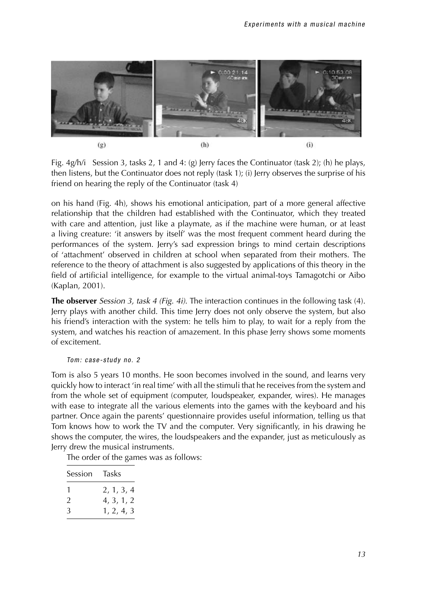

Fig. 4g/h/i Session 3, tasks 2, 1 and 4: (g) Jerry faces the Continuator (task 2); (h) he plays, then listens, but the Continuator does not reply (task 1); (i) Jerry observes the surprise of his friend on hearing the reply of the Continuator (task 4)

on his hand (Fig. 4h), shows his emotional anticipation, part of a more general affective relationship that the children had established with the Continuator, which they treated with care and attention, just like a playmate, as if the machine were human, or at least a living creature: 'it answers by itself' was the most frequent comment heard during the performances of the system. Jerry's sad expression brings to mind certain descriptions of 'attachment' observed in children at school when separated from their mothers. The reference to the theory of attachment is also suggested by applications of this theory in the field of artificial intelligence, for example to the virtual animal-toys Tamagotchi or Aibo (Kaplan, 2001).

**The observer** Session 3, task 4 (Fig. 4i). The interaction continues in the following task (4). Jerry plays with another child. This time Jerry does not only observe the system, but also his friend's interaction with the system: he tells him to play, to wait for a reply from the system, and watches his reaction of amazement. In this phase Jerry shows some moments of excitement.

# Tom: case-study no. 2

Tom is also 5 years 10 months. He soon becomes involved in the sound, and learns very quickly how to interact 'in real time' with all the stimuli that he receives from the system and from the whole set of equipment (computer, loudspeaker, expander, wires). He manages with ease to integrate all the various elements into the games with the keyboard and his partner. Once again the parents' questionnaire provides useful information, telling us that Tom knows how to work the TV and the computer. Very significantly, in his drawing he shows the computer, the wires, the loudspeakers and the expander, just as meticulously as Jerry drew the musical instruments.

The order of the games was as follows:

| 1 | Session       | <b>Tasks</b>                           |  |
|---|---------------|----------------------------------------|--|
| 3 | $\mathcal{P}$ | 2, 1, 3, 4<br>4, 3, 1, 2<br>1, 2, 4, 3 |  |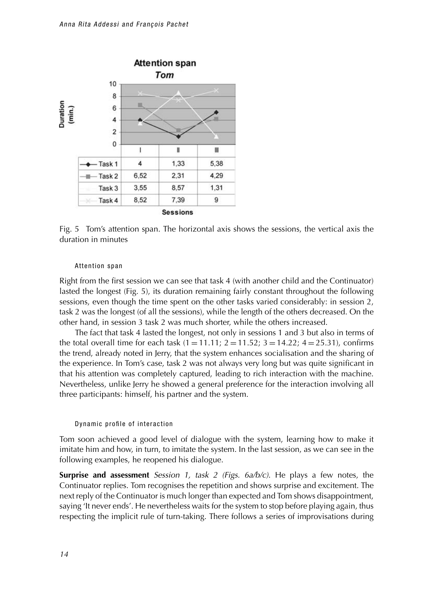

Fig. 5 Tom's attention span. The horizontal axis shows the sessions, the vertical axis the duration in minutes

# Attention span

Right from the first session we can see that task 4 (with another child and the Continuator) lasted the longest (Fig. 5), its duration remaining fairly constant throughout the following sessions, even though the time spent on the other tasks varied considerably: in session 2, task 2 was the longest (of all the sessions), while the length of the others decreased. On the other hand, in session 3 task 2 was much shorter, while the others increased.

The fact that task 4 lasted the longest, not only in sessions 1 and 3 but also in terms of the total overall time for each task  $(1 = 11.11; 2 = 11.52; 3 = 14.22; 4 = 25.31)$ , confirms the trend, already noted in Jerry, that the system enhances socialisation and the sharing of the experience. In Tom's case, task 2 was not always very long but was quite significant in that his attention was completely captured, leading to rich interaction with the machine. Nevertheless, unlike Jerry he showed a general preference for the interaction involving all three participants: himself, his partner and the system.

### Dynamic profile of interaction

Tom soon achieved a good level of dialogue with the system, learning how to make it imitate him and how, in turn, to imitate the system. In the last session, as we can see in the following examples, he reopened his dialogue.

**Surprise and assessment** Session 1, task <sup>2</sup> (Figs. 6a/b/c). He plays a few notes, the Continuator replies. Tom recognises the repetition and shows surprise and excitement. The next reply of the Continuator is much longer than expected and Tom shows disappointment, saying 'It never ends'. He nevertheless waits for the system to stop before playing again, thus respecting the implicit rule of turn-taking. There follows a series of improvisations during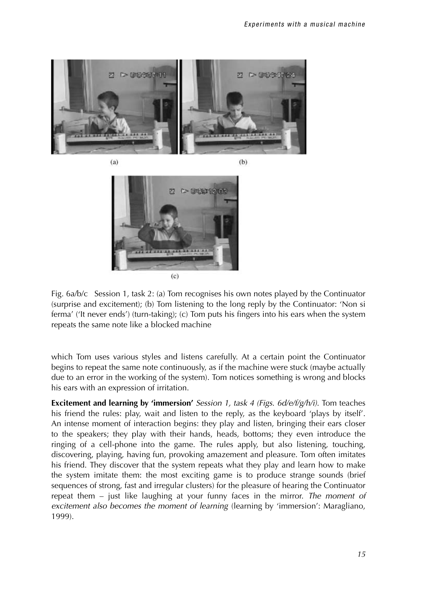

C> 印记的1921ml  $(c)$ 

Fig. 6a/b/c Session 1, task 2: (a) Tom recognises his own notes played by the Continuator (surprise and excitement); (b) Tom listening to the long reply by the Continuator: 'Non si ferma' ('It never ends') (turn-taking); (c) Tom puts his fingers into his ears when the system repeats the same note like a blocked machine

which Tom uses various styles and listens carefully. At a certain point the Continuator begins to repeat the same note continuously, as if the machine were stuck (maybe actually due to an error in the working of the system). Tom notices something is wrong and blocks his ears with an expression of irritation.

**Excitement and learning by 'immersion'** Session 1, task <sup>4</sup> (Figs. 6d/e/f/g/h/i). Tom teaches his friend the rules: play, wait and listen to the reply, as the keyboard 'plays by itself'. An intense moment of interaction begins: they play and listen, bringing their ears closer to the speakers; they play with their hands, heads, bottoms; they even introduce the ringing of a cell-phone into the game. The rules apply, but also listening, touching, discovering, playing, having fun, provoking amazement and pleasure. Tom often imitates his friend. They discover that the system repeats what they play and learn how to make the system imitate them: the most exciting game is to produce strange sounds (brief sequences of strong, fast and irregular clusters) for the pleasure of hearing the Continuator repeat them – just like laughing at your funny faces in the mirror. The moment of excitement also becomes the moment of learning (learning by 'immersion': Maragliano, 1999).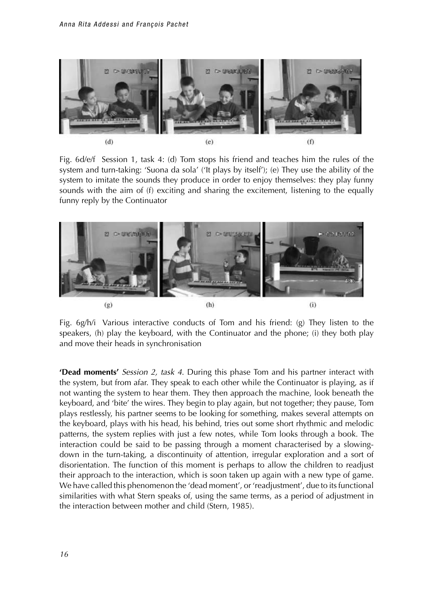

Fig. 6d/e/f Session 1, task 4: (d) Tom stops his friend and teaches him the rules of the system and turn-taking: 'Suona da sola' ('It plays by itself'); (e) They use the ability of the system to imitate the sounds they produce in order to enjoy themselves: they play funny sounds with the aim of (f) exciting and sharing the excitement, listening to the equally funny reply by the Continuator



Fig. 6g/h/i Various interactive conducts of Tom and his friend: (g) They listen to the speakers, (h) play the keyboard, with the Continuator and the phone; (i) they both play and move their heads in synchronisation

**'Dead moments'** Session 2, task <sup>4</sup>. During this phase Tom and his partner interact with the system, but from afar. They speak to each other while the Continuator is playing, as if not wanting the system to hear them. They then approach the machine, look beneath the keyboard, and 'bite' the wires. They begin to play again, but not together; they pause, Tom plays restlessly, his partner seems to be looking for something, makes several attempts on the keyboard, plays with his head, his behind, tries out some short rhythmic and melodic patterns, the system replies with just a few notes, while Tom looks through a book. The interaction could be said to be passing through a moment characterised by a slowingdown in the turn-taking, a discontinuity of attention, irregular exploration and a sort of disorientation. The function of this moment is perhaps to allow the children to readjust their approach to the interaction, which is soon taken up again with a new type of game. We have called this phenomenon the 'dead moment', or 'readjustment', due to its functional similarities with what Stern speaks of, using the same terms, as a period of adjustment in the interaction between mother and child (Stern, 1985).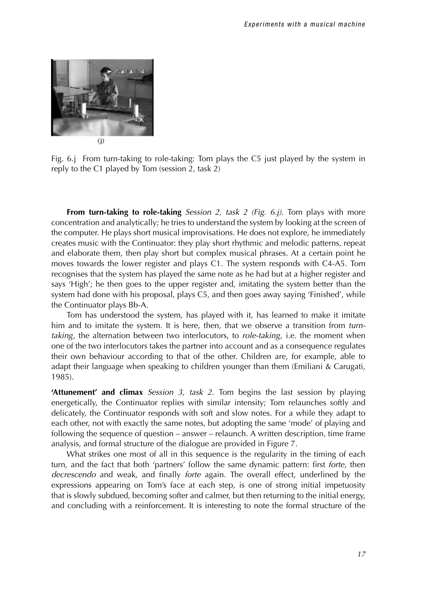

 $(j)$ 

Fig. 6.j From turn-taking to role-taking: Tom plays the C5 just played by the system in reply to the C1 played by Tom (session 2, task 2)

From turn-taking to role-taking Session 2, task 2 (Fig. 6.j). Tom plays with more concentration and analytically; he tries to understand the system by looking at the screen of the computer. He plays short musical improvisations. He does not explore, he immediately creates music with the Continuator: they play short rhythmic and melodic patterns, repeat and elaborate them, then play short but complex musical phrases. At a certain point he moves towards the lower register and plays C1. The system responds with C4-A5. Tom recognises that the system has played the same note as he had but at a higher register and says 'High'; he then goes to the upper register and, imitating the system better than the system had done with his proposal, plays C5, and then goes away saying 'Finished', while the Continuator plays Bb-A.

Tom has understood the system, has played with it, has learned to make it imitate him and to imitate the system. It is here, then, that we observe a transition from turntaking, the alternation between two interlocutors, to role-taking, i.e. the moment when one of the two interlocutors takes the partner into account and as a consequence regulates their own behaviour according to that of the other. Children are, for example, able to adapt their language when speaking to children younger than them (Emiliani & Carugati, 1985).

**'Attunement' and climax** Session 3, task <sup>2</sup>. Tom begins the last session by playing energetically, the Continuator replies with similar intensity; Tom relaunches softly and delicately, the Continuator responds with soft and slow notes. For a while they adapt to each other, not with exactly the same notes, but adopting the same 'mode' of playing and following the sequence of question – answer – relaunch. A written description, time frame analysis, and formal structure of the dialogue are provided in Figure 7.

What strikes one most of all in this sequence is the regularity in the timing of each turn, and the fact that both 'partners' follow the same dynamic pattern: first forte, then decrescendo and weak, and finally forte again. The overall effect, underlined by the expressions appearing on Tom's face at each step, is one of strong initial impetuosity that is slowly subdued, becoming softer and calmer, but then returning to the initial energy, and concluding with a reinforcement. It is interesting to note the formal structure of the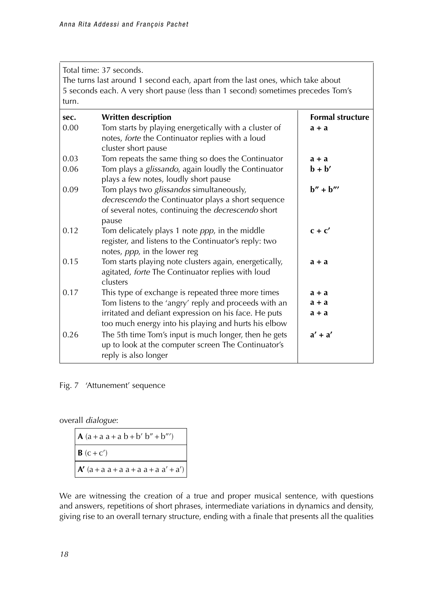# Total time: 37 seconds.

The turns last around 1 second each, apart from the last ones, which take about 5 seconds each. A very short pause (less than 1 second) sometimes precedes Tom's turn.

| sec. | <b>Written description</b>                                                                                                                                                                                                   | <b>Formal structure</b>       |
|------|------------------------------------------------------------------------------------------------------------------------------------------------------------------------------------------------------------------------------|-------------------------------|
| 0.00 | Tom starts by playing energetically with a cluster of<br>notes, forte the Continuator replies with a loud<br>cluster short pause                                                                                             | $a + a$                       |
| 0.03 | Tom repeats the same thing so does the Continuator                                                                                                                                                                           | $a + a$                       |
| 0.06 | Tom plays a glissando, again loudly the Continuator<br>plays a few notes, loudly short pause                                                                                                                                 | $b + b'$                      |
| 0.09 | Tom plays two glissandos simultaneously,<br>decrescendo the Continuator plays a short sequence<br>of several notes, continuing the decrescendo short<br>pause                                                                | $b'' + b'''$                  |
| 0.12 | Tom delicately plays 1 note <i>ppp</i> , in the middle<br>register, and listens to the Continuator's reply: two<br>notes, ppp, in the lower reg                                                                              | $c + c'$                      |
| 0.15 | Tom starts playing note clusters again, energetically,<br>agitated, forte The Continuator replies with loud<br>clusters                                                                                                      | $a + a$                       |
| 0.17 | This type of exchange is repeated three more times<br>Tom listens to the 'angry' reply and proceeds with an<br>irritated and defiant expression on his face. He puts<br>too much energy into his playing and hurts his elbow | $a + a$<br>$a + a$<br>$a + a$ |
| 0.26 | The 5th time Tom's input is much longer, then he gets<br>up to look at the computer screen The Continuator's<br>reply is also longer                                                                                         | $a' + a'$                     |

Fig. 7 'Attunement' sequence

overall dialogue:

**A**  $(a + a a + b + b' b'' + b''')$  $B(c + c')$ **A'**  $(a + a a + a a + a a + a a' + a')$ 

We are witnessing the creation of a true and proper musical sentence, with questions and answers, repetitions of short phrases, intermediate variations in dynamics and density, giving rise to an overall ternary structure, ending with a finale that presents all the qualities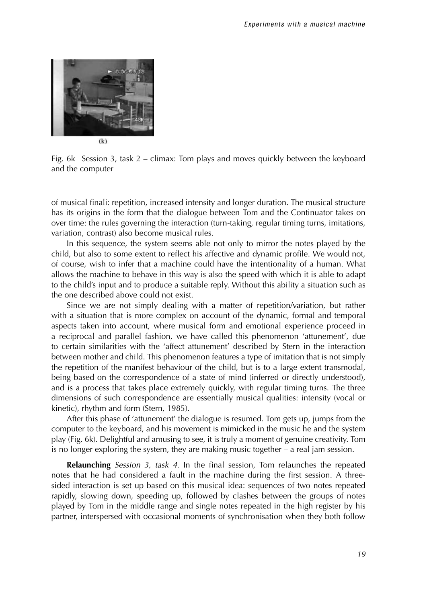

 $(k)$ 

Fig. 6k Session 3, task 2 – climax: Tom plays and moves quickly between the keyboard and the computer

of musical finali: repetition, increased intensity and longer duration. The musical structure has its origins in the form that the dialogue between Tom and the Continuator takes on over time: the rules governing the interaction (turn-taking, regular timing turns, imitations, variation, contrast) also become musical rules.

In this sequence, the system seems able not only to mirror the notes played by the child, but also to some extent to reflect his affective and dynamic profile. We would not, of course, wish to infer that a machine could have the intentionality of a human. What allows the machine to behave in this way is also the speed with which it is able to adapt to the child's input and to produce a suitable reply. Without this ability a situation such as the one described above could not exist.

Since we are not simply dealing with a matter of repetition/variation, but rather with a situation that is more complex on account of the dynamic, formal and temporal aspects taken into account, where musical form and emotional experience proceed in a reciprocal and parallel fashion, we have called this phenomenon 'attunement', due to certain similarities with the 'affect attunement' described by Stern in the interaction between mother and child. This phenomenon features a type of imitation that is not simply the repetition of the manifest behaviour of the child, but is to a large extent transmodal, being based on the correspondence of a state of mind (inferred or directly understood), and is a process that takes place extremely quickly, with regular timing turns. The three dimensions of such correspondence are essentially musical qualities: intensity (vocal or kinetic), rhythm and form (Stern, 1985).

After this phase of 'attunement' the dialogue is resumed. Tom gets up, jumps from the computer to the keyboard, and his movement is mimicked in the music he and the system play (Fig. 6k). Delightful and amusing to see, it is truly a moment of genuine creativity. Tom is no longer exploring the system, they are making music together – a real jam session.

**Relaunching** Session 3, task <sup>4</sup>. In the final session, Tom relaunches the repeated notes that he had considered a fault in the machine during the first session. A threesided interaction is set up based on this musical idea: sequences of two notes repeated rapidly, slowing down, speeding up, followed by clashes between the groups of notes played by Tom in the middle range and single notes repeated in the high register by his partner, interspersed with occasional moments of synchronisation when they both follow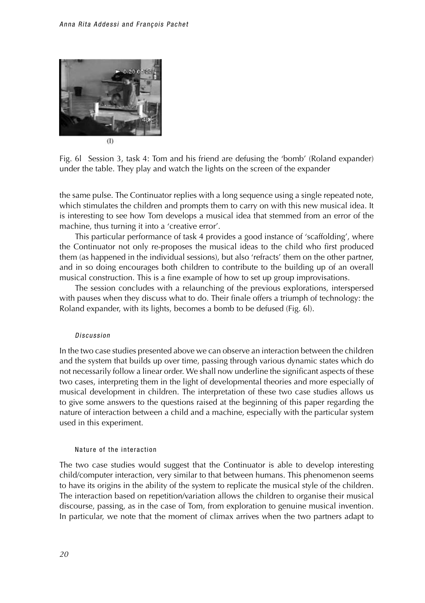

Fig. 6l Session 3, task 4: Tom and his friend are defusing the 'bomb' (Roland expander) under the table. They play and watch the lights on the screen of the expander

the same pulse. The Continuator replies with a long sequence using a single repeated note, which stimulates the children and prompts them to carry on with this new musical idea. It is interesting to see how Tom develops a musical idea that stemmed from an error of the machine, thus turning it into a 'creative error'.

This particular performance of task 4 provides a good instance of 'scaffolding', where the Continuator not only re-proposes the musical ideas to the child who first produced them (as happened in the individual sessions), but also 'refracts' them on the other partner, and in so doing encourages both children to contribute to the building up of an overall musical construction. This is a fine example of how to set up group improvisations.

The session concludes with a relaunching of the previous explorations, interspersed with pauses when they discuss what to do. Their finale offers a triumph of technology: the Roland expander, with its lights, becomes a bomb to be defused (Fig. 6l).

# Discussion

In the two case studies presented above we can observe an interaction between the children and the system that builds up over time, passing through various dynamic states which do not necessarily follow a linear order. We shall now underline the significant aspects of these two cases, interpreting them in the light of developmental theories and more especially of musical development in children. The interpretation of these two case studies allows us to give some answers to the questions raised at the beginning of this paper regarding the nature of interaction between a child and a machine, especially with the particular system used in this experiment.

### Nature of the interaction

The two case studies would suggest that the Continuator is able to develop interesting child/computer interaction, very similar to that between humans. This phenomenon seems to have its origins in the ability of the system to replicate the musical style of the children. The interaction based on repetition/variation allows the children to organise their musical discourse, passing, as in the case of Tom, from exploration to genuine musical invention. In particular, we note that the moment of climax arrives when the two partners adapt to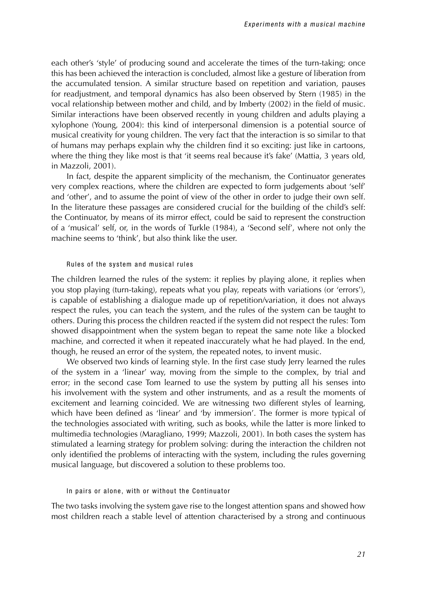each other's 'style' of producing sound and accelerate the times of the turn-taking; once this has been achieved the interaction is concluded, almost like a gesture of liberation from the accumulated tension. A similar structure based on repetition and variation, pauses for readjustment, and temporal dynamics has also been observed by Stern (1985) in the vocal relationship between mother and child, and by Imberty (2002) in the field of music. Similar interactions have been observed recently in young children and adults playing a xylophone (Young, 2004): this kind of interpersonal dimension is a potential source of musical creativity for young children. The very fact that the interaction is so similar to that of humans may perhaps explain why the children find it so exciting: just like in cartoons, where the thing they like most is that 'it seems real because it's fake' (Mattia, 3 years old, in Mazzoli, 2001).

In fact, despite the apparent simplicity of the mechanism, the Continuator generates very complex reactions, where the children are expected to form judgements about 'self' and 'other', and to assume the point of view of the other in order to judge their own self. In the literature these passages are considered crucial for the building of the child's self: the Continuator, by means of its mirror effect, could be said to represent the construction of a 'musical' self, or, in the words of Turkle (1984), a 'Second self', where not only the machine seems to 'think', but also think like the user.

### Rules of the system and musical rules

The children learned the rules of the system: it replies by playing alone, it replies when you stop playing (turn-taking), repeats what you play, repeats with variations (or 'errors'), is capable of establishing a dialogue made up of repetition/variation, it does not always respect the rules, you can teach the system, and the rules of the system can be taught to others. During this process the children reacted if the system did not respect the rules: Tom showed disappointment when the system began to repeat the same note like a blocked machine, and corrected it when it repeated inaccurately what he had played. In the end, though, he reused an error of the system, the repeated notes, to invent music.

We observed two kinds of learning style. In the first case study Jerry learned the rules of the system in a 'linear' way, moving from the simple to the complex, by trial and error; in the second case Tom learned to use the system by putting all his senses into his involvement with the system and other instruments, and as a result the moments of excitement and learning coincided. We are witnessing two different styles of learning, which have been defined as 'linear' and 'by immersion'. The former is more typical of the technologies associated with writing, such as books, while the latter is more linked to multimedia technologies (Maragliano, 1999; Mazzoli, 2001). In both cases the system has stimulated a learning strategy for problem solving: during the interaction the children not only identified the problems of interacting with the system, including the rules governing musical language, but discovered a solution to these problems too.

# In pairs or alone, with or without the Continuator

The two tasks involving the system gave rise to the longest attention spans and showed how most children reach a stable level of attention characterised by a strong and continuous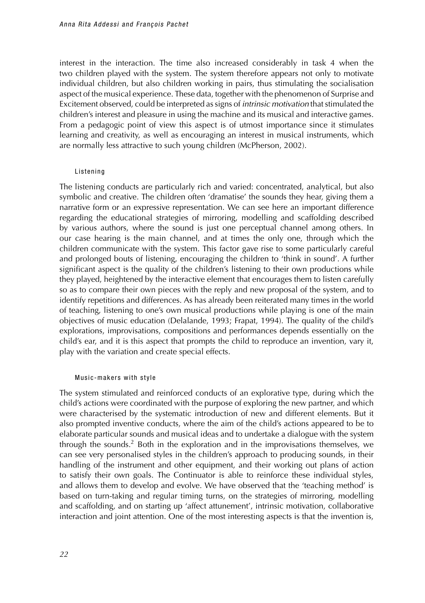interest in the interaction. The time also increased considerably in task 4 when the two children played with the system. The system therefore appears not only to motivate individual children, but also children working in pairs, thus stimulating the socialisation aspect of the musical experience. These data, together with the phenomenon of Surprise and Excitement observed, could be interpreted as signs of intrinsic motivation that stimulated the children's interest and pleasure in using the machine and its musical and interactive games. From a pedagogic point of view this aspect is of utmost importance since it stimulates learning and creativity, as well as encouraging an interest in musical instruments, which are normally less attractive to such young children (McPherson, 2002).

### Listening

The listening conducts are particularly rich and varied: concentrated, analytical, but also symbolic and creative. The children often 'dramatise' the sounds they hear, giving them a narrative form or an expressive representation. We can see here an important difference regarding the educational strategies of mirroring, modelling and scaffolding described by various authors, where the sound is just one perceptual channel among others. In our case hearing is the main channel, and at times the only one, through which the children communicate with the system. This factor gave rise to some particularly careful and prolonged bouts of listening, encouraging the children to 'think in sound'. A further significant aspect is the quality of the children's listening to their own productions while they played, heightened by the interactive element that encourages them to listen carefully so as to compare their own pieces with the reply and new proposal of the system, and to identify repetitions and differences. As has already been reiterated many times in the world of teaching, listening to one's own musical productions while playing is one of the main objectives of music education (Delalande, 1993; Frapat, 1994). The quality of the child's explorations, improvisations, compositions and performances depends essentially on the child's ear, and it is this aspect that prompts the child to reproduce an invention, vary it, play with the variation and create special effects.

### Music-makers with style

The system stimulated and reinforced conducts of an explorative type, during which the child's actions were coordinated with the purpose of exploring the new partner, and which were characterised by the systematic introduction of new and different elements. But it also prompted inventive conducts, where the aim of the child's actions appeared to be to elaborate particular sounds and musical ideas and to undertake a dialogue with the system through the sounds.<sup>2</sup> Both in the exploration and in the improvisations themselves, we can see very personalised styles in the children's approach to producing sounds, in their handling of the instrument and other equipment, and their working out plans of action to satisfy their own goals. The Continuator is able to reinforce these individual styles, and allows them to develop and evolve. We have observed that the 'teaching method' is based on turn-taking and regular timing turns, on the strategies of mirroring, modelling and scaffolding, and on starting up 'affect attunement', intrinsic motivation, collaborative interaction and joint attention. One of the most interesting aspects is that the invention is,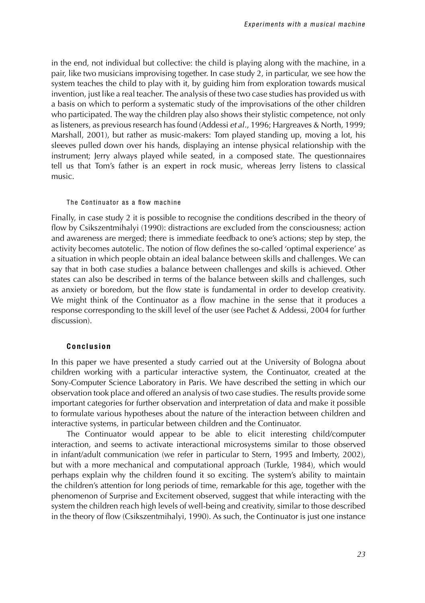in the end, not individual but collective: the child is playing along with the machine, in a pair, like two musicians improvising together. In case study 2, in particular, we see how the system teaches the child to play with it, by guiding him from exploration towards musical invention, just like a real teacher. The analysis of these two case studies has provided us with a basis on which to perform a systematic study of the improvisations of the other children who participated. The way the children play also shows their stylistic competence, not only as listeners, as previous research has found (Addessi et al., 1996; Hargreaves & North, 1999; Marshall, 2001), but rather as music-makers: Tom played standing up, moving a lot, his sleeves pulled down over his hands, displaying an intense physical relationship with the instrument; Jerry always played while seated, in a composed state. The questionnaires tell us that Tom's father is an expert in rock music, whereas Jerry listens to classical music.

### The Continuator as a flow machine

Finally, in case study 2 it is possible to recognise the conditions described in the theory of flow by Csikszentmihalyi (1990): distractions are excluded from the consciousness; action and awareness are merged; there is immediate feedback to one's actions; step by step, the activity becomes autotelic. The notion of flow defines the so-called 'optimal experience' as a situation in which people obtain an ideal balance between skills and challenges. We can say that in both case studies a balance between challenges and skills is achieved. Other states can also be described in terms of the balance between skills and challenges, such as anxiety or boredom, but the flow state is fundamental in order to develop creativity. We might think of the Continuator as a flow machine in the sense that it produces a response corresponding to the skill level of the user (see Pachet & Addessi, 2004 for further discussion).

# **Conclusion**

In this paper we have presented a study carried out at the University of Bologna about children working with a particular interactive system, the Continuator, created at the Sony-Computer Science Laboratory in Paris. We have described the setting in which our observation took place and offered an analysis of two case studies. The results provide some important categories for further observation and interpretation of data and make it possible to formulate various hypotheses about the nature of the interaction between children and interactive systems, in particular between children and the Continuator.

The Continuator would appear to be able to elicit interesting child/computer interaction, and seems to activate interactional microsystems similar to those observed in infant/adult communication (we refer in particular to Stern, 1995 and Imberty, 2002), but with a more mechanical and computational approach (Turkle, 1984), which would perhaps explain why the children found it so exciting. The system's ability to maintain the children's attention for long periods of time, remarkable for this age, together with the phenomenon of Surprise and Excitement observed, suggest that while interacting with the system the children reach high levels of well-being and creativity, similar to those described in the theory of flow (Csikszentmihalyi, 1990). As such, the Continuator is just one instance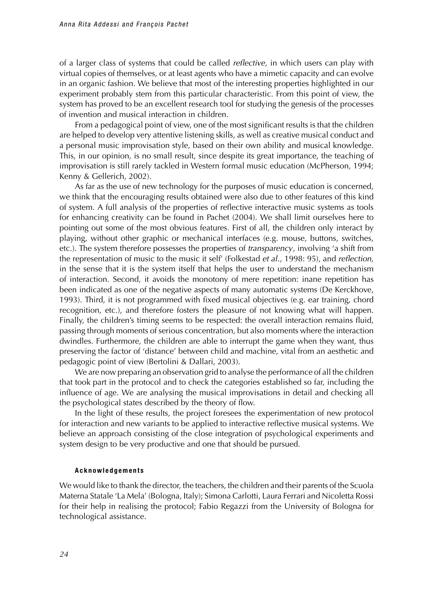of a larger class of systems that could be called reflective, in which users can play with virtual copies of themselves, or at least agents who have a mimetic capacity and can evolve in an organic fashion. We believe that most of the interesting properties highlighted in our experiment probably stem from this particular characteristic. From this point of view, the system has proved to be an excellent research tool for studying the genesis of the processes of invention and musical interaction in children.

From a pedagogical point of view, one of the most significant results is that the children are helped to develop very attentive listening skills, as well as creative musical conduct and a personal music improvisation style, based on their own ability and musical knowledge. This, in our opinion, is no small result, since despite its great importance, the teaching of improvisation is still rarely tackled in Western formal music education (McPherson, 1994; Kenny & Gellerich, 2002).

As far as the use of new technology for the purposes of music education is concerned, we think that the encouraging results obtained were also due to other features of this kind of system. A full analysis of the properties of reflective interactive music systems as tools for enhancing creativity can be found in Pachet (2004). We shall limit ourselves here to pointing out some of the most obvious features. First of all, the children only interact by playing, without other graphic or mechanical interfaces (e.g. mouse, buttons, switches, etc.). The system therefore possesses the properties of transparency, involving 'a shift from the representation of music to the music it self' (Folkestad et al., 1998: 95), and reflection, in the sense that it is the system itself that helps the user to understand the mechanism of interaction. Second, it avoids the monotony of mere repetition: inane repetition has been indicated as one of the negative aspects of many automatic systems (De Kerckhove, 1993). Third, it is not programmed with fixed musical objectives (e.g. ear training, chord recognition, etc.), and therefore fosters the pleasure of not knowing what will happen. Finally, the children's timing seems to be respected: the overall interaction remains fluid, passing through moments of serious concentration, but also moments where the interaction dwindles. Furthermore, the children are able to interrupt the game when they want, thus preserving the factor of 'distance' between child and machine, vital from an aesthetic and pedagogic point of view (Bertolini & Dallari, 2003).

We are now preparing an observation grid to analyse the performance of all the children that took part in the protocol and to check the categories established so far, including the influence of age. We are analysing the musical improvisations in detail and checking all the psychological states described by the theory of flow.

In the light of these results, the project foresees the experimentation of new protocol for interaction and new variants to be applied to interactive reflective musical systems. We believe an approach consisting of the close integration of psychological experiments and system design to be very productive and one that should be pursued.

### **Acknowledgements**

We would like to thank the director, the teachers, the children and their parents of the Scuola Materna Statale 'La Mela' (Bologna, Italy); Simona Carlotti, Laura Ferrari and Nicoletta Rossi for their help in realising the protocol; Fabio Regazzi from the University of Bologna for technological assistance.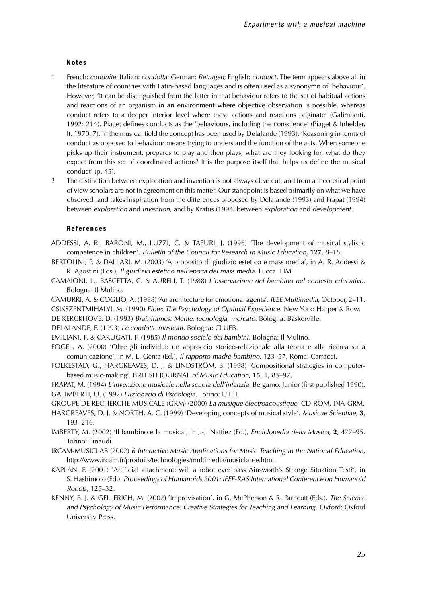### **Notes**

- 1 French: conduite; Italian: condotta; German: Betragen; English: conduct. The term appears above all in the literature of countries with Latin-based languages and is often used as a synonymn of 'behaviour'. However, 'It can be distinguished from the latter in that behaviour refers to the set of habitual actions and reactions of an organism in an environment where objective observation is possible, whereas conduct refers to a deeper interior level where these actions and reactions originate' (Galimberti, 1992: 214). Piaget defines conducts as the 'behaviours, including the conscience' (Piaget & Inhelder, It. 1970: 7). In the musical field the concept has been used by Delalande (1993): 'Reasoning in terms of conduct as opposed to behaviour means trying to understand the function of the acts. When someone picks up their instrument, prepares to play and then plays, what are they looking for, what do they expect from this set of coordinated actions? It is the purpose itself that helps us define the musical conduct' (p. 45).
- 2 The distinction between exploration and invention is not always clear cut, and from a theoretical point of view scholars are not in agreement on this matter. Our standpoint is based primarily on what we have observed, and takes inspiration from the differences proposed by Delalande (1993) and Frapat (1994) between exploration and invention, and by Kratus (1994) between exploration and development.

#### **References**

ADDESSI, A. R., BARONI, M., LUZZI, C. & TAFURI, J. (1996) 'The development of musical stylistic competence in children'. Bulletin of the Council for Research in Music Education, **127**, 8–15.

- BERTOLINI, P. & DALLARI, M. (2003) 'A proposito di giudizio estetico e mass media', in A. R. Addessi & R. Agostini (Eds.), Il giudizio estetico nell'epoca dei mass media. Lucca: LIM.
- CAMAIONI, L., BASCETTA, C. & AURELI, T. (1988) L'osservazione del bambino nel contesto educativo. Bologna: Il Mulino.
- CAMURRI, A. & COGLIO, A. (1998) 'An architecture for emotional agents'. IEEE Multimedia, October, 2–11.

CSIKSZENTMIHALYI, M. (1990) Flow: The Psychology of Optimal Experience. New York: Harper & Row.

DE KERCKHOVE, D. (1993) Brainframes: Mente, tecnologia, mercato. Bologna: Baskerville.

DELALANDE, F. (1993) Le condotte musicali. Bologna: CLUEB.

- EMILIANI, F. & CARUGATI, F. (1985) Il mondo sociale dei bambini. Bologna: Il Mulino.
- FOGEL, A. (2000) 'Oltre gli individui: un approccio storico-relazionale alla teoria e alla ricerca sulla comunicazione', in M. L. Genta (Ed.), Il rapporto madre-bambino, 123–57. Roma: Carracci.
- FOLKESTAD, G., HARGREAVES, D. J. & LINDSTRÖM, B. (1998) 'Compositional strategies in computerbased music-making'. BRITISH JOURNAL of Music Education, **15**, 1, 83–97.

FRAPAT, M. (1994) L'invenzione musicale nella scuola dell'infanzia. Bergamo: Junior (first published 1990). GALIMBERTI, U. (1992) Dizionario di Psicologia. Torino: UTET.

GROUPE DE RECHERCHE MUSICALE (GRM) (2000) La musique électroacoustique, CD-ROM, INA-GRM.

- HARGREAVES, D. J. & NORTH, A. C. (1999) 'Developing concepts of musical style'. Musicae Scientiae, **3**, 193–216.
- IMBERTY, M. (2002) 'Il bambino e la musica', in J.-J. Nattiez (Ed.), Enciclopedia della Musica, **2**, 477–95. Torino: Einaudi.
- IRCAM-MUSICLAB (2002) <sup>6</sup> Interactive Music Applications for Music Teaching in the National Education, http://www.ircam.fr/produits/technologies/multimedia/musiclab-e.html.
- KAPLAN, F. (2001) 'Artificial attachment: will a robot ever pass Ainsworth's Strange Situation Test?', in S. Hashimoto (Ed.), Proceedings of Humanoids 2001: IEEE-RAS International Conference on Humanoid Robots, 125–32.
- KENNY, B. J. & GELLERICH, M. (2002) 'Improvisation', in G. McPherson & R. Parncutt (Eds.), The Science and Psychology of Music Performance: Creative Strategies for Teaching and Learning. Oxford: Oxford University Press.